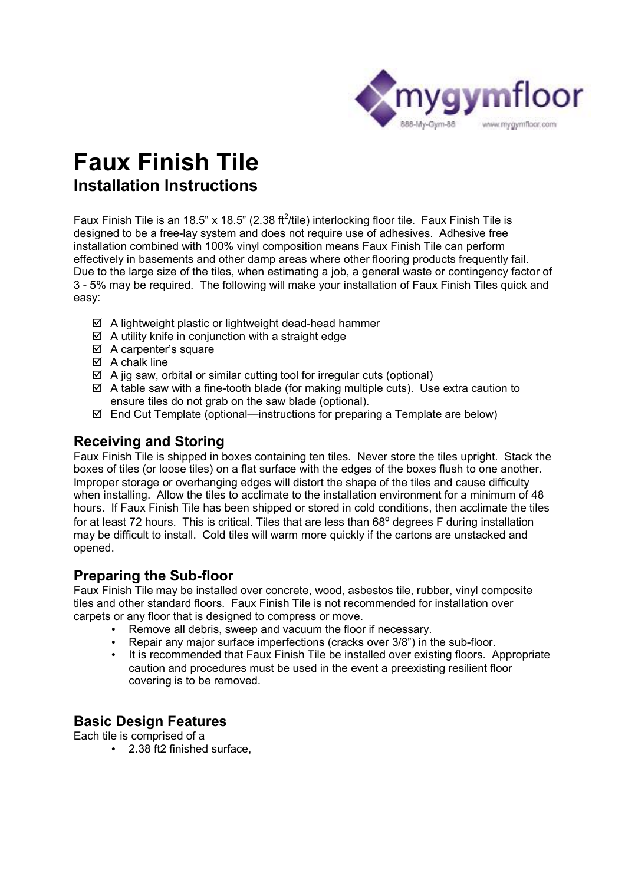

# **Faux Finish Tile Installation Instructions**

Faux Finish Tile is an 18.5" x 18.5" (2.38 ft<sup>2</sup>/tile) interlocking floor tile. Faux Finish Tile is designed to be a free-lay system and does not require use of adhesives. Adhesive free installation combined with 100% vinyl composition means Faux Finish Tile can perform effectively in basements and other damp areas where other flooring products frequently fail. Due to the large size of the tiles, when estimating a job, a general waste or contingency factor of 3 - 5% may be required. The following will make your installation of Faux Finish Tiles quick and easy:

- $\boxtimes$  A lightweight plastic or lightweight dead-head hammer
- $\boxtimes$  A utility knife in conjunction with a straight edge
- A carpenter's square
- $\boxtimes$  A chalk line
- $\boxtimes$  A jig saw, orbital or similar cutting tool for irregular cuts (optional)
- $\boxtimes$  A table saw with a fine-tooth blade (for making multiple cuts). Use extra caution to ensure tiles do not grab on the saw blade (optional).
- $\boxtimes$  End Cut Template (optional—instructions for preparing a Template are below)

# **Receiving and Storing**

Faux Finish Tile is shipped in boxes containing ten tiles. Never store the tiles upright. Stack the boxes of tiles (or loose tiles) on a flat surface with the edges of the boxes flush to one another. Improper storage or overhanging edges will distort the shape of the tiles and cause difficulty when installing. Allow the tiles to acclimate to the installation environment for a minimum of 48 hours. If Faux Finish Tile has been shipped or stored in cold conditions, then acclimate the tiles for at least 72 hours. This is critical. Tiles that are less than 68º degrees F during installation may be difficult to install. Cold tiles will warm more quickly if the cartons are unstacked and opened.

# **Preparing the Sub-floor**

Faux Finish Tile may be installed over concrete, wood, asbestos tile, rubber, vinyl composite tiles and other standard floors. Faux Finish Tile is not recommended for installation over carpets or any floor that is designed to compress or move.

- Remove all debris, sweep and vacuum the floor if necessary.
- Repair any major surface imperfections (cracks over 3/8") in the sub-floor.
- It is recommended that Faux Finish Tile be installed over existing floors. Appropriate caution and procedures must be used in the event a preexisting resilient floor covering is to be removed.

# **Basic Design Features**

Each tile is comprised of a

• 2.38 ft2 finished surface,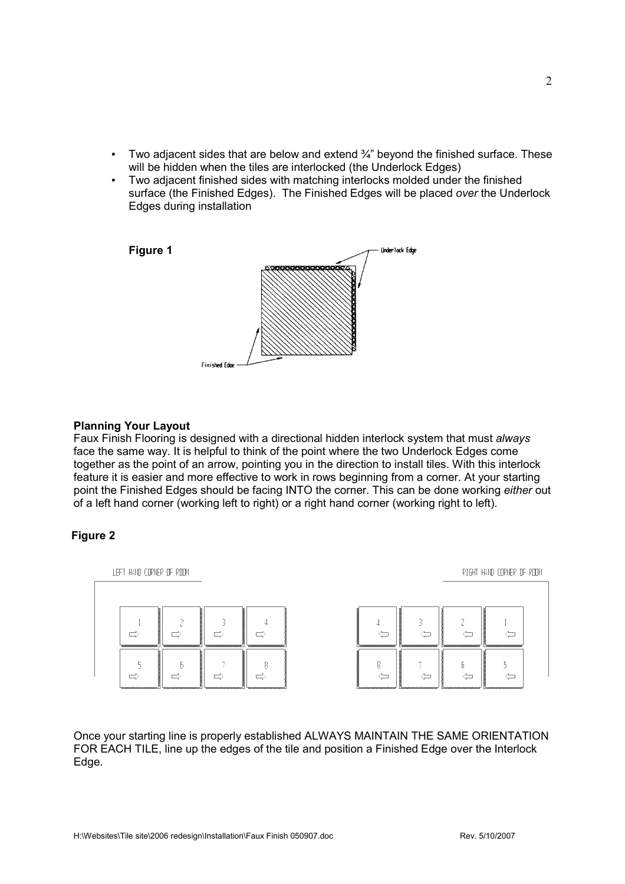- Two adjacent sides that are below and extend  $\frac{3}{4}$ " beyond the finished surface. These will be hidden when the tiles are interlocked (the Underlock Edges)
- Two adjacent finished sides with matching interlocks molded under the finished surface (the Finished Edges). The Finished Edges will be placed *over* the Underlock Edges during installation



#### **Planning Your Layout**

Faux Finish Flooring is designed with a directional hidden interlock system that must *always*  face the same way. It is helpful to think of the point where the two Underlock Edges come together as the point of an arrow, pointing you in the direction to install tiles. With this interlock feature it is easier and more effective to work in rows beginning from a corner. At your starting point the Finished Edges should be facing INTO the corner. This can be done working *either* out of a left hand corner (working left to right) or a right hand corner (working right to left).

#### **Figure 2**



Once your starting line is properly established ALWAYS MAINTAIN THE SAME ORIENTATION FOR EACH TILE, line up the edges of the tile and position a Finished Edge over the Interlock Edge.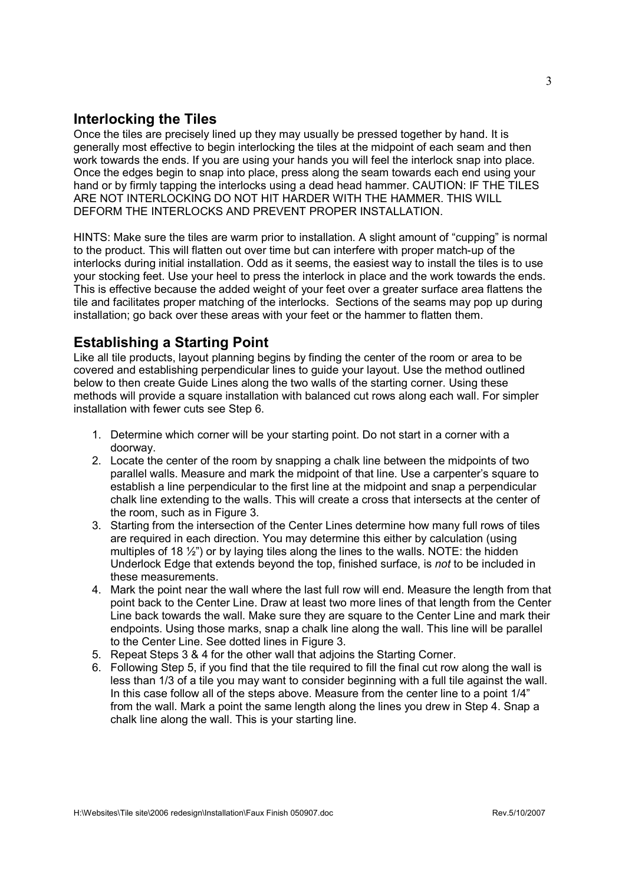## **Interlocking the Tiles**

Once the tiles are precisely lined up they may usually be pressed together by hand. It is generally most effective to begin interlocking the tiles at the midpoint of each seam and then work towards the ends. If you are using your hands you will feel the interlock snap into place. Once the edges begin to snap into place, press along the seam towards each end using your hand or by firmly tapping the interlocks using a dead head hammer. CAUTION: IF THE TILES ARE NOT INTERLOCKING DO NOT HIT HARDER WITH THE HAMMER. THIS WILL DEFORM THE INTERLOCKS AND PREVENT PROPER INSTALLATION.

HINTS: Make sure the tiles are warm prior to installation. A slight amount of "cupping" is normal to the product. This will flatten out over time but can interfere with proper match-up of the interlocks during initial installation. Odd as it seems, the easiest way to install the tiles is to use your stocking feet. Use your heel to press the interlock in place and the work towards the ends. This is effective because the added weight of your feet over a greater surface area flattens the tile and facilitates proper matching of the interlocks. Sections of the seams may pop up during installation; go back over these areas with your feet or the hammer to flatten them.

### **Establishing a Starting Point**

Like all tile products, layout planning begins by finding the center of the room or area to be covered and establishing perpendicular lines to guide your layout. Use the method outlined below to then create Guide Lines along the two walls of the starting corner. Using these methods will provide a square installation with balanced cut rows along each wall. For simpler installation with fewer cuts see Step 6.

- 1. Determine which corner will be your starting point. Do not start in a corner with a doorway.
- 2. Locate the center of the room by snapping a chalk line between the midpoints of two parallel walls. Measure and mark the midpoint of that line. Use a carpenter's square to establish a line perpendicular to the first line at the midpoint and snap a perpendicular chalk line extending to the walls. This will create a cross that intersects at the center of the room, such as in Figure 3.
- 3. Starting from the intersection of the Center Lines determine how many full rows of tiles are required in each direction. You may determine this either by calculation (using multiples of 18  $\frac{1}{2}$ ") or by laying tiles along the lines to the walls. NOTE: the hidden Underlock Edge that extends beyond the top, finished surface, is *not* to be included in these measurements.
- 4. Mark the point near the wall where the last full row will end. Measure the length from that point back to the Center Line. Draw at least two more lines of that length from the Center Line back towards the wall. Make sure they are square to the Center Line and mark their endpoints. Using those marks, snap a chalk line along the wall. This line will be parallel to the Center Line. See dotted lines in Figure 3.
- 5. Repeat Steps 3 & 4 for the other wall that adjoins the Starting Corner.
- 6. Following Step 5, if you find that the tile required to fill the final cut row along the wall is less than 1/3 of a tile you may want to consider beginning with a full tile against the wall. In this case follow all of the steps above. Measure from the center line to a point 1/4" from the wall. Mark a point the same length along the lines you drew in Step 4. Snap a chalk line along the wall. This is your starting line.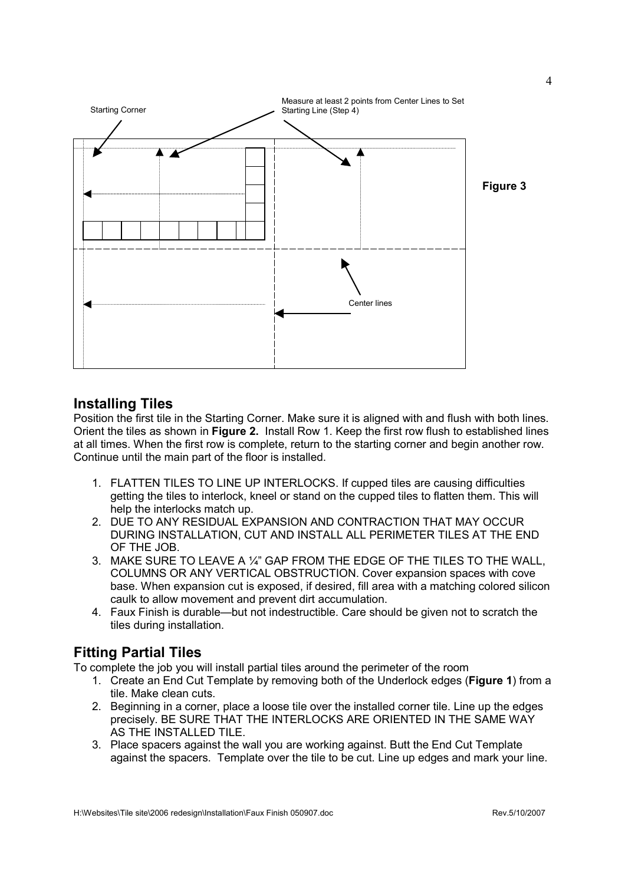

## **Installing Tiles**

Position the first tile in the Starting Corner. Make sure it is aligned with and flush with both lines. Orient the tiles as shown in **Figure 2.** Install Row 1. Keep the first row flush to established lines at all times. When the first row is complete, return to the starting corner and begin another row. Continue until the main part of the floor is installed.

- 1. FLATTEN TILES TO LINE UP INTERLOCKS. If cupped tiles are causing difficulties getting the tiles to interlock, kneel or stand on the cupped tiles to flatten them. This will help the interlocks match up.
- 2. DUE TO ANY RESIDUAL EXPANSION AND CONTRACTION THAT MAY OCCUR DURING INSTALLATION, CUT AND INSTALL ALL PERIMETER TILES AT THE END OF THE JOB.
- 3. MAKE SURE TO LEAVE A ¼" GAP FROM THE EDGE OF THE TILES TO THE WALL, COLUMNS OR ANY VERTICAL OBSTRUCTION. Cover expansion spaces with cove base. When expansion cut is exposed, if desired, fill area with a matching colored silicon caulk to allow movement and prevent dirt accumulation.
- 4. Faux Finish is durable—but not indestructible. Care should be given not to scratch the tiles during installation.

# **Fitting Partial Tiles**

To complete the job you will install partial tiles around the perimeter of the room

- 1. Create an End Cut Template by removing both of the Underlock edges (**Figure 1**) from a tile. Make clean cuts.
- 2. Beginning in a corner, place a loose tile over the installed corner tile. Line up the edges precisely. BE SURE THAT THE INTERLOCKS ARE ORIENTED IN THE SAME WAY AS THE INSTALLED TILE.
- 3. Place spacers against the wall you are working against. Butt the End Cut Template against the spacers. Template over the tile to be cut. Line up edges and mark your line.